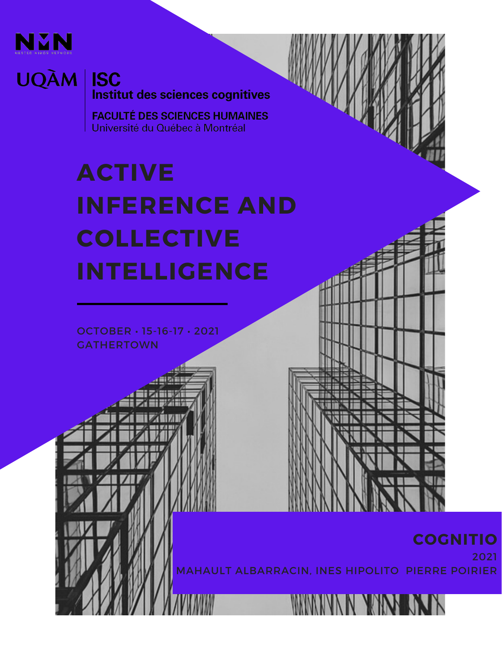

**UQÀM** 

#### **ISC** Institut des sciences cognitives

**FACULTÉ DES SCIENCES HUMAINES** Université du Québec à Montréal

#### **ACTIVE INFERENCE AND COLLECTIVE INTELLIGENCE**

OCTOBER • 15-16-17 • 2021 **GATHERTOWN** 

#### **COGNITIO**

2021

MAHAULT ALBARRACIN, INES HIPOLITO PIERRE POIRIER

NN YAN J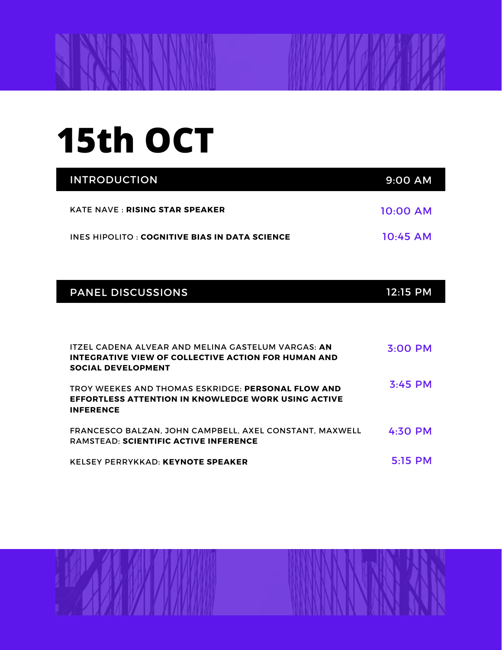## **15th OCT**

| <b>INTRODUCTION</b>                                  | $9:00$ AM  |
|------------------------------------------------------|------------|
| <b>KATE NAVE : RISING STAR SPEAKER</b>               | $10:00$ AM |
| <b>INES HIPOLITO: COGNITIVE BIAS IN DATA SCIENCE</b> | 10:45 AM   |

|  |  | <b>PANEL DISCUSSIONS</b> |
|--|--|--------------------------|
|  |  |                          |
|  |  |                          |

| ITZEL CADENA ALVEAR AND MELINA GASTELUM VARGAS: AN<br>INTEGRATIVE VIEW OF COLLECTIVE ACTION FOR HUMAN AND<br><b>SOCIAL DEVELOPMENT</b> | $3:00$ PM |
|----------------------------------------------------------------------------------------------------------------------------------------|-----------|
| TROY WEEKES AND THOMAS ESKRIDGE: PERSONAL FLOW AND<br><b>EFFORTLESS ATTENTION IN KNOWLEDGE WORK USING ACTIVE</b><br><b>INFERENCE</b>   | $3:45$ PM |
| FRANCESCO BALZAN. JOHN CAMPBELL. AXEL CONSTANT. MAXWELL<br><b>RAMSTEAD: SCIENTIFIC ACTIVE INFERENCE</b>                                | $4:30$ PM |
| KELSEY PERRYKKAD: KEYNOTE SPEAKER                                                                                                      | $5:15$ PM |





12:15 PM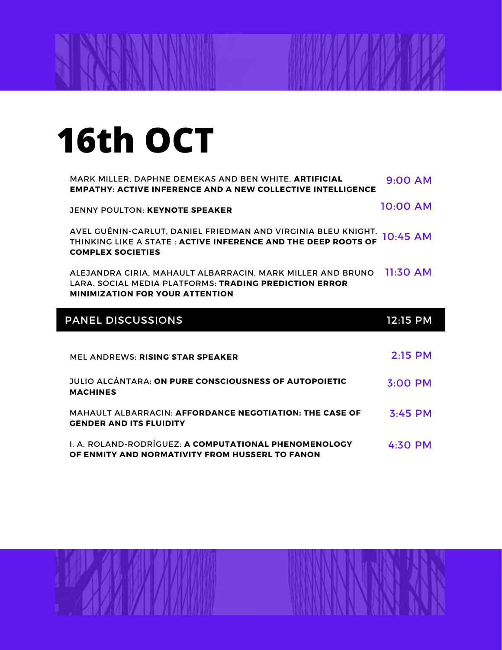# **16th OCT**

| MARK MILLER, DAPHNE DEMEKAS AND BEN WHITE. ARTIFICIAL<br><b>EMPATHY: ACTIVE INFERENCE AND A NEW COLLECTIVE INTELLIGENCE</b>                                    | $9:00$ AM  |  |
|----------------------------------------------------------------------------------------------------------------------------------------------------------------|------------|--|
| <b>JENNY POULTON: KEYNOTE SPEAKER</b>                                                                                                                          | 10:00 AM   |  |
| AVEL GUÉNIN-CARLUT, DANIEL FRIEDMAN AND VIRGINIA BLEU KNIGHT.<br>THINKING LIKE A STATE: ACTIVE INFERENCE AND THE DEEP ROOTS OF<br><b>COMPLEX SOCIETIES</b>     | 10:45 AM   |  |
| ALEJANDRA CIRIA, MAHAULT ALBARRACIN, MARK MILLER AND BRUNO<br>LARA, SOCIAL MEDIA PLATFORMS: TRADING PREDICTION ERROR<br><b>MINIMIZATION FOR YOUR ATTENTION</b> | $11:30$ AM |  |
| <b>PANEL DISCUSSIONS</b>                                                                                                                                       | 12:15 PM   |  |
|                                                                                                                                                                |            |  |
| <b>MEL ANDREWS: RISING STAR SPEAKER</b>                                                                                                                        | $2:15$ PM  |  |
| <b>JULIO ALCÁNTARA: ON PURE CONSCIOUSNESS OF AUTOPOIETIC</b><br><b>MACHINES</b>                                                                                | 3:00 PM    |  |
| <b>MAHAULT ALBARRACIN: AFFORDANCE NEGOTIATION: THE CASE OF</b><br><b>GENDER AND ITS FLUIDITY</b>                                                               | $3:45$ PM  |  |
| <b>I. A. ROLAND-RODRÍGUEZ: A COMPUTATIONAL PHENOMENOLOGY</b><br>OF ENMITY AND NORMATIVITY FROM HUSSERL TO FANON                                                | $4:30$ PM  |  |